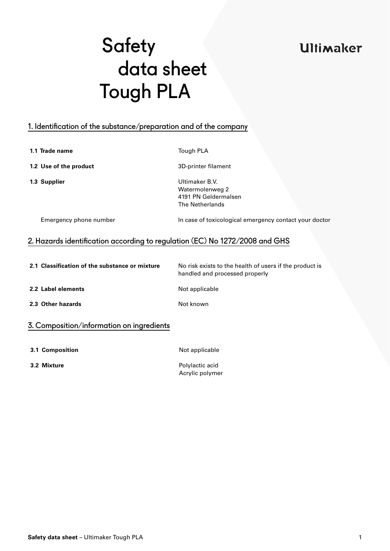## **Ultimaker**

# **Safety**  data sheet Tough PLA

### 1. Identification of the substance/preparation and of the company

**1.1 Trade name** Tough PLA

**1.2 Use of the product** 3D-printer filament

**1.3 Supplier** Ultimaker B.V. Watermolenweg 2 4191 PN Geldermalsen The Netherlands

Emergency phone number In case of toxicological emergency contact your doctor

### 2. Hazards identification according to regulation (EC) No 1272/2008 and GHS

| 2.1 Classification of the substance or mixture | No risk exists to the health of users if the product is<br>handled and processed properly |
|------------------------------------------------|-------------------------------------------------------------------------------------------|
| 2.2 Label elements                             | Not applicable                                                                            |
| 2.3 Other hazards                              | Not known                                                                                 |
| 3. Composition/information on ingredients      |                                                                                           |

- **3.1 Composition 12.1 Composition**
- 

**3.2 Mixture** Polylactic acid Acrylic polymer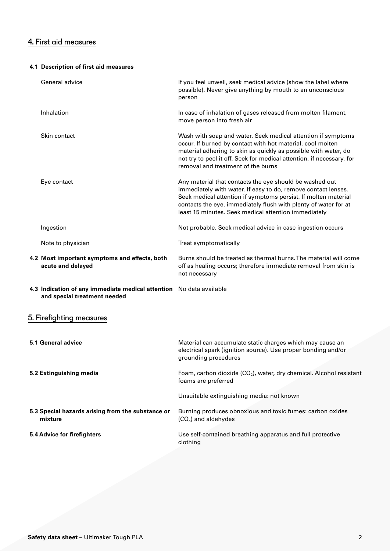### 4. First aid measures

### **4.1 Description of first aid measures**

| General advice                                                                                      | If you feel unwell, seek medical advice (show the label where<br>possible). Never give anything by mouth to an unconscious<br>person                                                                                                                                                                                  |
|-----------------------------------------------------------------------------------------------------|-----------------------------------------------------------------------------------------------------------------------------------------------------------------------------------------------------------------------------------------------------------------------------------------------------------------------|
| Inhalation                                                                                          | In case of inhalation of gases released from molten filament,<br>move person into fresh air                                                                                                                                                                                                                           |
| Skin contact                                                                                        | Wash with soap and water. Seek medical attention if symptoms<br>occur. If burned by contact with hot material, cool molten<br>material adhering to skin as quickly as possible with water, do<br>not try to peel it off. Seek for medical attention, if necessary, for<br>removal and treatment of the burns          |
| Eye contact                                                                                         | Any material that contacts the eye should be washed out<br>immediately with water. If easy to do, remove contact lenses.<br>Seek medical attention if symptoms persist. If molten material<br>contacts the eye, immediately flush with plenty of water for at<br>least 15 minutes. Seek medical attention immediately |
| Ingestion                                                                                           | Not probable. Seek medical advice in case ingestion occurs                                                                                                                                                                                                                                                            |
| Note to physician                                                                                   | Treat symptomatically                                                                                                                                                                                                                                                                                                 |
| 4.2 Most important symptoms and effects, both<br>acute and delayed                                  | Burns should be treated as thermal burns. The material will come<br>off as healing occurs; therefore immediate removal from skin is<br>not necessary                                                                                                                                                                  |
| 4.3 Indication of any immediate medical attention No data available<br>and special treatment needed |                                                                                                                                                                                                                                                                                                                       |
| 5. Firefighting measures                                                                            |                                                                                                                                                                                                                                                                                                                       |
| 5.1 General advice                                                                                  | Material can accumulate static charges which may cause an<br>electrical spark (ignition source). Use proper bonding and/or<br>grounding procedures                                                                                                                                                                    |
| 5.2 Extinguishing media                                                                             | Foam, carbon dioxide (CO <sub>2</sub> ), water, dry chemical. Alcohol resistant<br>foams are preferred                                                                                                                                                                                                                |
|                                                                                                     | Unsuitable extinguishing media: not known                                                                                                                                                                                                                                                                             |
| 5.3 Special hazards arising from the substance or<br>mixture                                        | Burning produces obnoxious and toxic fumes: carbon oxides<br>$(COx)$ and aldehydes                                                                                                                                                                                                                                    |
| 5.4 Advice for firefighters                                                                         | Use self-contained breathing apparatus and full protective<br>clothing                                                                                                                                                                                                                                                |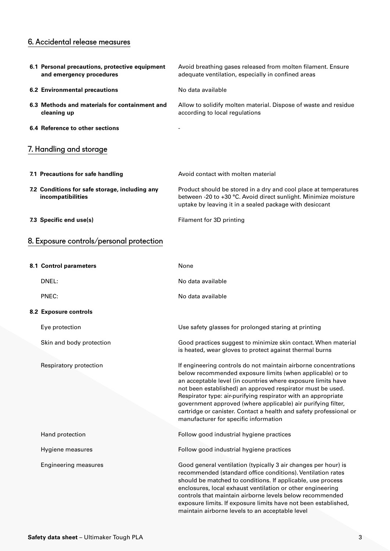### 6. Accidental release measures

| 6.1 Personal precautions, protective equipment<br>and emergency procedures | Avoid breathing gases released from molten filament. Ensure<br>adequate ventilation, especially in confined areas                                                                                                                                                                                                                                                                                                                                                                                          |
|----------------------------------------------------------------------------|------------------------------------------------------------------------------------------------------------------------------------------------------------------------------------------------------------------------------------------------------------------------------------------------------------------------------------------------------------------------------------------------------------------------------------------------------------------------------------------------------------|
| <b>6.2 Environmental precautions</b>                                       | No data available                                                                                                                                                                                                                                                                                                                                                                                                                                                                                          |
| 6.3 Methods and materials for containment and<br>cleaning up               | Allow to solidify molten material. Dispose of waste and residue<br>according to local regulations                                                                                                                                                                                                                                                                                                                                                                                                          |
| 6.4 Reference to other sections                                            |                                                                                                                                                                                                                                                                                                                                                                                                                                                                                                            |
| 7. Handling and storage                                                    |                                                                                                                                                                                                                                                                                                                                                                                                                                                                                                            |
| 7.1 Precautions for safe handling                                          | Avoid contact with molten material                                                                                                                                                                                                                                                                                                                                                                                                                                                                         |
| 7.2 Conditions for safe storage, including any<br>incompatibilities        | Product should be stored in a dry and cool place at temperatures<br>between -20 to +30 °C. Avoid direct sunlight. Minimize moisture<br>uptake by leaving it in a sealed package with desiccant                                                                                                                                                                                                                                                                                                             |
| 7.3 Specific end use(s)                                                    | Filament for 3D printing                                                                                                                                                                                                                                                                                                                                                                                                                                                                                   |
| 8. Exposure controls/personal protection                                   |                                                                                                                                                                                                                                                                                                                                                                                                                                                                                                            |
| 8.1 Control parameters                                                     | None                                                                                                                                                                                                                                                                                                                                                                                                                                                                                                       |
| DNEL:                                                                      | No data available                                                                                                                                                                                                                                                                                                                                                                                                                                                                                          |
| PNEC:                                                                      | No data available                                                                                                                                                                                                                                                                                                                                                                                                                                                                                          |
| 8.2 Exposure controls                                                      |                                                                                                                                                                                                                                                                                                                                                                                                                                                                                                            |
| Eye protection                                                             | Use safety glasses for prolonged staring at printing                                                                                                                                                                                                                                                                                                                                                                                                                                                       |
| Skin and body protection                                                   | Good practices suggest to minimize skin contact. When material<br>is heated, wear gloves to protect against thermal burns                                                                                                                                                                                                                                                                                                                                                                                  |
| Respiratory protection                                                     | If engineering controls do not maintain airborne concentrations<br>below recommended exposure limits (when applicable) or to<br>an acceptable level (in countries where exposure limits have<br>not been established) an approved respirator must be used.<br>Respirator type: air-purifying respirator with an appropriate<br>government approved (where applicable) air purifying filter,<br>cartridge or canister. Contact a health and safety professional or<br>manufacturer for specific information |
| Hand protection                                                            | Follow good industrial hygiene practices                                                                                                                                                                                                                                                                                                                                                                                                                                                                   |
| Hygiene measures                                                           | Follow good industrial hygiene practices                                                                                                                                                                                                                                                                                                                                                                                                                                                                   |
| <b>Engineering measures</b>                                                | Good general ventilation (typically 3 air changes per hour) is                                                                                                                                                                                                                                                                                                                                                                                                                                             |

recommended (standard office conditions). Ventilation rates should be matched to conditions. If applicable, use process enclosures, local exhaust ventilation or other engineering controls that maintain airborne levels below recommended exposure limits. If exposure limits have not been established, maintain airborne levels to an acceptable level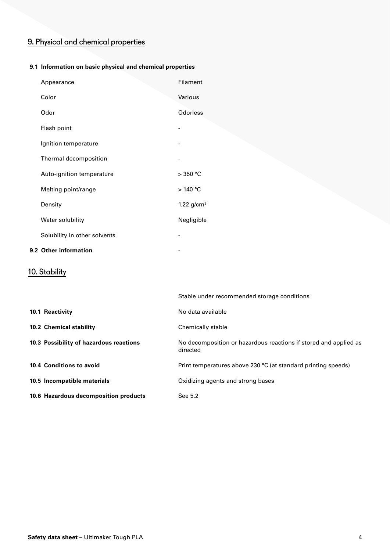### 9. Physical and chemical properties

### **9.1 Information on basic physical and chemical properties**

| Appearance                   | Filament        |
|------------------------------|-----------------|
| Color                        | Various         |
| Odor                         | Odorless        |
| Flash point                  |                 |
| Ignition temperature         |                 |
| Thermal decomposition        |                 |
| Auto-ignition temperature    | $>350$ °C       |
| Melting point/range          | >140 °C         |
| Density                      | 1.22 $g/cm^{3}$ |
| Water solubility             | Negligible      |
| Solubility in other solvents |                 |
|                              |                 |

### **9.2 Other information**

### 10. Stability

|                                         | Stable under recommended storage conditions                                  |
|-----------------------------------------|------------------------------------------------------------------------------|
| 10.1 Reactivity                         | No data available                                                            |
| 10.2 Chemical stability                 | Chemically stable                                                            |
| 10.3 Possibility of hazardous reactions | No decomposition or hazardous reactions if stored and applied as<br>directed |
| 10.4 Conditions to avoid                | Print temperatures above 230 °C (at standard printing speeds)                |
| 10.5 Incompatible materials             | Oxidizing agents and strong bases                                            |
| 10.6 Hazardous decomposition products   | See 5.2                                                                      |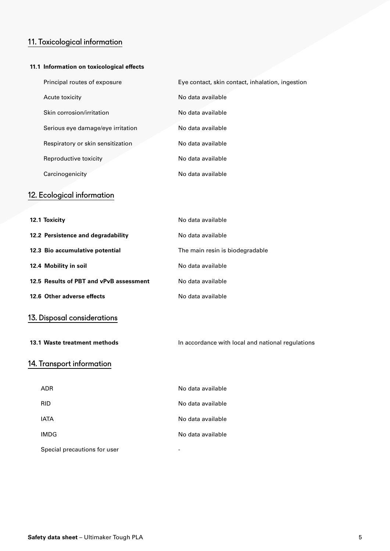### 11. Toxicological information

#### **11.1 Information on toxicological effects**

| Principal routes of exposure      | Eye contact, skin contact, inhalation, ingestion |
|-----------------------------------|--------------------------------------------------|
| Acute toxicity                    | No data available                                |
| Skin corrosion/irritation         | No data available                                |
| Serious eye damage/eye irritation | No data available                                |
| Respiratory or skin sensitization | No data available                                |
| Reproductive toxicity             | No data available                                |
| Carcinogenicity                   | No data available                                |

### 12. Ecological information

| 12.1 Toxicity                           | No data available               |
|-----------------------------------------|---------------------------------|
| 12.2 Persistence and degradability      | No data available               |
| 12.3 Bio accumulative potential         | The main resin is biodegradable |
| 12.4 Mobility in soil                   | No data available               |
| 12.5 Results of PBT and vPvB assessment | No data available               |
| 12.6 Other adverse effects              | No data available               |
|                                         |                                 |

### 13. Disposal considerations

**13.1 Waste treatment methods In accordance with local and national regulations** 

### 14. Transport information

| ADR                          | No data available |
|------------------------------|-------------------|
| <b>RID</b>                   | No data available |
| <b>IATA</b>                  | No data available |
| <b>IMDG</b>                  | No data available |
| Special precautions for user |                   |